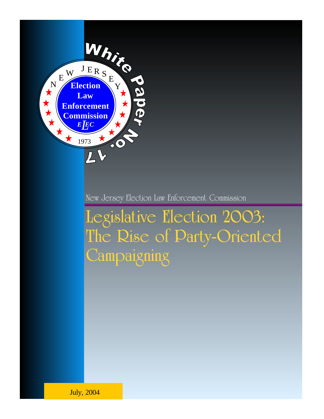

New Jersey Election Law Enforcement Commission

Legislative Election 2003: The Rise of Party-Oriented **Campaigning** 

July, 2004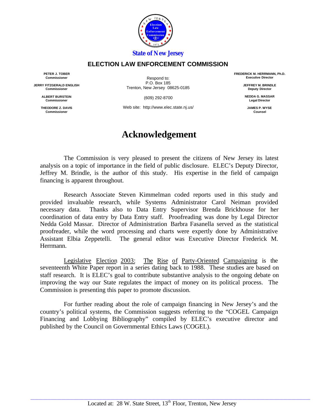

#### *State of New Jersey*

#### **ELECTION LAW ENFORCEMENT COMMISSION**

**PETER J. TOBER Commissioner**

**JERRY FITZGERALD ENGLISH Commissioner**

> **ALBERT BURSTEIN Commissione**

> **THEODORE Z. DAVIS Commissioner**

Respond to: P.O. Box 185 Trenton, New Jersey 08625-0185

(609) 292-8700

Web site: http://www.elec.state.nj.us/

## **Acknowledgement**

The Commission is very pleased to present the citizens of New Jersey its latest analysis on a topic of importance in the field of public disclosure. ELEC's Deputy Director, Jeffrey M. Brindle, is the author of this study. His expertise in the field of campaign financing is apparent throughout.

Research Associate Steven Kimmelman coded reports used in this study and provided invaluable research, while Systems Administrator Carol Neiman provided necessary data. Thanks also to Data Entry Supervisor Brenda Brickhouse for her coordination of data entry by Data Entry staff. Proofreading was done by Legal Director Nedda Gold Massar. Director of Administration Barbra Fasanella served as the statistical proofreader, while the word processing and charts were expertly done by Administrative Assistant Elbia Zeppetelli. The general editor was Executive Director Frederick M. Herrmann.

Legislative Election 2003: The Rise of Party-Oriented Campaigning is the seventeenth White Paper report in a series dating back to 1988. These studies are based on staff research. It is ELEC's goal to contribute substantive analysis to the ongoing debate on improving the way our State regulates the impact of money on its political process. The Commission is presenting this paper to promote discussion.

For further reading about the role of campaign financing in New Jersey's and the country's political systems, the Commission suggests referring to the "COGEL Campaign Financing and Lobbying Bibliography" compiled by ELEC's executive director and published by the Council on Governmental Ethics Laws (COGEL).

**FREDERICK M. HERRMANN, Ph.D. Executive Director**

> **JEFFREY M. BRINDLE Deputy Director**

**NEDDA G. MASSAR Legal Director**

**JAMES P. WYSE Counsel**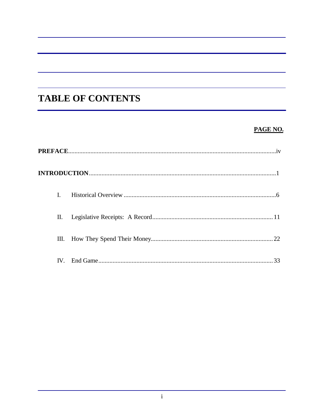# **TABLE OF CONTENTS**

## PAGE NO.

| L             |    |
|---------------|----|
| П.            |    |
| Ш.            |    |
| $\mathbf{IV}$ | 33 |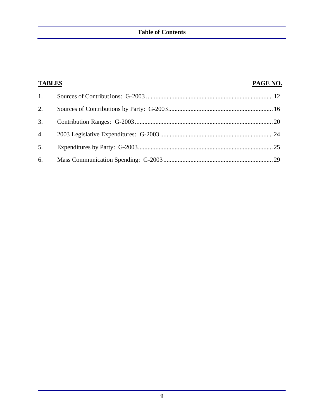| <b>TABLES</b> | PAGE NO. |
|---------------|----------|
| 1.            |          |
| 2.            |          |
| 3.            |          |
|               |          |
| 5.            |          |
|               |          |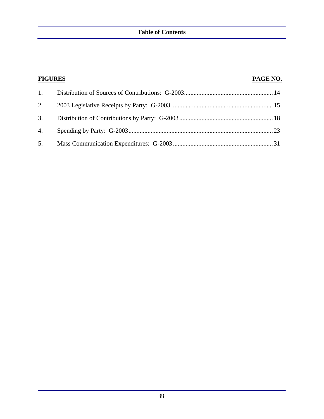| <b>FIGURES</b> | PAGE NO. |
|----------------|----------|
|                |          |
|                |          |
|                |          |
|                |          |
|                |          |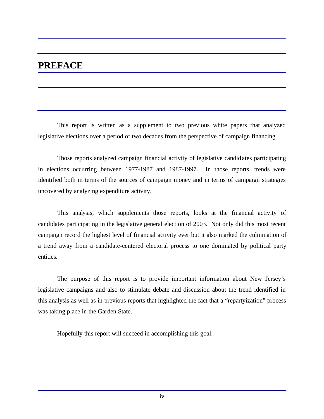## **PREFACE**

This report is written as a supplement to two previous white papers that analyzed legislative elections over a period of two decades from the perspective of campaign financing.

Those reports analyzed campaign financial activity of legislative candidates participating in elections occurring between 1977-1987 and 1987-1997. In those reports, trends were identified both in terms of the sources of campaign money and in terms of campaign strategies uncovered by analyzing expenditure activity.

This analysis, which supplements those reports, looks at the financial activity of candidates participating in the legislative general election of 2003. Not only did this most recent campaign record the highest level of financial activity ever but it also marked the culmination of a trend away from a candidate-centered electoral process to one dominated by political party entities.

The purpose of this report is to provide important information about New Jersey's legislative campaigns and also to stimulate debate and discussion about the trend identified in this analysis as well as in previous reports that highlighted the fact that a "repartyization" process was taking place in the Garden State.

Hopefully this report will succeed in accomplishing this goal.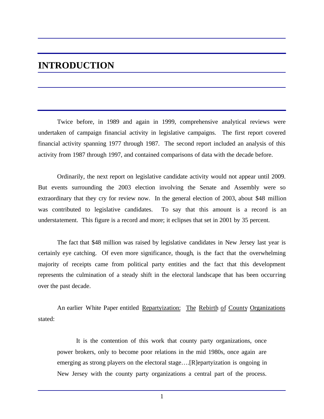## **INTRODUCTION**

Twice before, in 1989 and again in 1999, comprehensive analytical reviews were undertaken of campaign financial activity in legislative campaigns. The first report covered financial activity spanning 1977 through 1987. The second report included an analysis of this activity from 1987 through 1997, and contained comparisons of data with the decade before.

Ordinarily, the next report on legislative candidate activity would not appear until 2009. But events surrounding the 2003 election involving the Senate and Assembly were so extraordinary that they cry for review now. In the general election of 2003, about \$48 million was contributed to legislative candidates. To say that this amount is a record is an understatement. This figure is a record and more; it eclipses that set in 2001 by 35 percent.

The fact that \$48 million was raised by legislative candidates in New Jersey last year is certainly eye catching. Of even more significance, though, is the fact that the overwhelming majority of receipts came from political party entities and the fact that this development represents the culmination of a steady shift in the electoral landscape that has been occurring over the past decade.

An earlier White Paper entitled Repartyization: The Rebirth of County Organizations stated:

It is the contention of this work that county party organizations, once power brokers, only to become poor relations in the mid 1980s, once again are emerging as strong players on the electoral stage….[R]epartyization is ongoing in New Jersey with the county party organizations a central part of the process.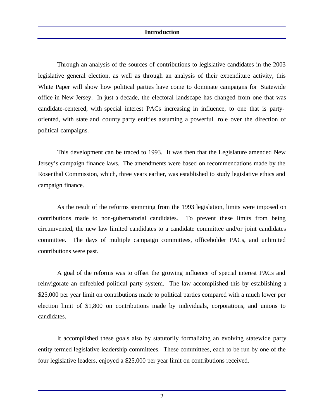Through an analysis of the sources of contributions to legislative candidates in the 2003 legislative general election, as well as through an analysis of their expenditure activity, this White Paper will show how political parties have come to dominate campaigns for Statewide office in New Jersey. In just a decade, the electoral landscape has changed from one that was candidate-centered, with special interest PACs increasing in influence, to one that is partyoriented, with state and county party entities assuming a powerful role over the direction of political campaigns.

This development can be traced to 1993. It was then that the Legislature amended New Jersey's campaign finance laws. The amendments were based on recommendations made by the Rosenthal Commission, which, three years earlier, was established to study legislative ethics and campaign finance.

As the result of the reforms stemming from the 1993 legislation, limits were imposed on contributions made to non-gubernatorial candidates. To prevent these limits from being circumvented, the new law limited candidates to a candidate committee and/or joint candidates committee. The days of multiple campaign committees, officeholder PACs, and unlimited contributions were past.

A goal of the reforms was to offset the growing influence of special interest PACs and reinvigorate an enfeebled political party system. The law accomplished this by establishing a \$25,000 per year limit on contributions made to political parties compared with a much lower per election limit of \$1,800 on contributions made by individuals, corporations, and unions to candidates.

It accomplished these goals also by statutorily formalizing an evolving statewide party entity termed legislative leadership committees. These committees, each to be run by one of the four legislative leaders, enjoyed a \$25,000 per year limit on contributions received.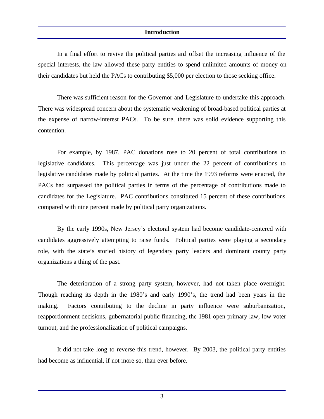#### **Introduction**

In a final effort to revive the political parties and offset the increasing influence of the special interests, the law allowed these party entities to spend unlimited amounts of money on their candidates but held the PACs to contributing \$5,000 per election to those seeking office.

There was sufficient reason for the Governor and Legislature to undertake this approach. There was widespread concern about the systematic weakening of broad-based political parties at the expense of narrow-interest PACs. To be sure, there was solid evidence supporting this contention.

For example, by 1987, PAC donations rose to 20 percent of total contributions to legislative candidates. This percentage was just under the 22 percent of contributions to legislative candidates made by political parties. At the time the 1993 reforms were enacted, the PACs had surpassed the political parties in terms of the percentage of contributions made to candidates for the Legislature. PAC contributions constituted 15 percent of these contributions compared with nine percent made by political party organizations.

By the early 1990s, New Jersey's electoral system had become candidate-centered with candidates aggressively attempting to raise funds. Political parties were playing a secondary role, with the state's storied history of legendary party leaders and dominant county party organizations a thing of the past.

The deterioration of a strong party system, however, had not taken place overnight. Though reaching its depth in the 1980's and early 1990's, the trend had been years in the making. Factors contributing to the decline in party influence were suburbanization, reapportionment decisions, gubernatorial public financing, the 1981 open primary law, low voter turnout, and the professionalization of political campaigns.

It did not take long to reverse this trend, however. By 2003, the political party entities had become as influential, if not more so, than ever before.

3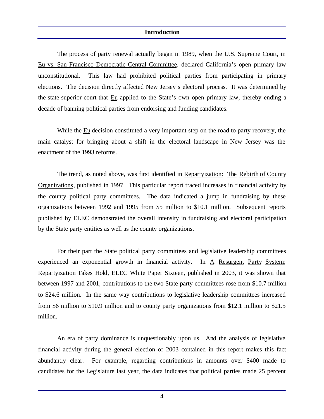#### **Introduction**

The process of party renewal actually began in 1989, when the U.S. Supreme Court, in Eu vs. San Francisco Democratic Central Committee, declared California's open primary law unconstitutional. This law had prohibited political parties from participating in primary elections. The decision directly affected New Jersey's electoral process. It was determined by the state superior court that Eu applied to the State's own open primary law, thereby ending a decade of banning political parties from endorsing and funding candidates.

While the Eu decision constituted a very important step on the road to party recovery, the main catalyst for bringing about a shift in the electoral landscape in New Jersey was the enactment of the 1993 reforms.

The trend, as noted above, was first identified in Repartyization: The Rebirth of County Organizations, published in 1997. This particular report traced increases in financial activity by the county political party committees. The data indicated a jump in fundraising by these organizations between 1992 and 1995 from \$5 million to \$10.1 million. Subsequent reports published by ELEC demonstrated the overall intensity in fundraising and electoral participation by the State party entities as well as the county organizations.

For their part the State political party committees and legislative leadership committees experienced an exponential growth in financial activity. In A Resurgent Party System: Repartyization Takes Hold, ELEC White Paper Sixteen, published in 2003, it was shown that between 1997 and 2001, contributions to the two State party committees rose from \$10.7 million to \$24.6 million. In the same way contributions to legislative leadership committees increased from \$6 million to \$10.9 million and to county party organizations from \$12.1 million to \$21.5 million.

An era of party dominance is unquestionably upon us. And the analysis of legislative financial activity during the general election of 2003 contained in this report makes this fact abundantly clear. For example, regarding contributions in amounts over \$400 made to candidates for the Legislature last year, the data indicates that political parties made 25 percent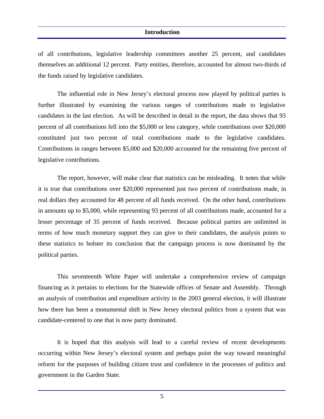#### **Introduction**

of all contributions, legislative leadership committees another 25 percent, and candidates themselves an additional 12 percent. Party entities, therefore, accounted for almost two-thirds of the funds raised by legislative candidates.

The influential role in New Jersey's electoral process now played by political parties is further illustrated by examining the various ranges of contributions made to legislative candidates in the last election. As will be described in detail in the report, the data shows that 93 percent of all contributions fell into the \$5,000 or less category, while contributions over \$20,000 constituted just two percent of total contributions made to the legislative candidates. Contributions in ranges between \$5,000 and \$20,000 accounted for the remaining five percent of legislative contributions.

The report, however, will make clear that statistics can be misleading. It notes that while it is true that contributions over \$20,000 represented just two percent of contributions made, in real dollars they accounted for 48 percent of all funds received. On the other hand, contributions in amounts up to \$5,000, while representing 93 percent of all contributions made, accounted for a lesser percentage of 35 percent of funds received. Because political parties are unlimited in terms of how much monetary support they can give to their candidates, the analysis points to these statistics to bolster its conclusion that the campaign process is now dominated by the political parties.

This seventeenth White Paper will undertake a comprehensive review of campaign financing as it pertains to elections for the Statewide offices of Senate and Assembly. Through an analysis of contribution and expenditure activity in the 2003 general election, it will illustrate how there has been a monumental shift in New Jersey electoral politics from a system that was candidate-centered to one that is now party dominated.

It is hoped that this analysis will lead to a careful review of recent developments occurring within New Jersey's electoral system and perhaps point the way toward meaningful reform for the purposes of building citizen trust and confidence in the processes of politics and government in the Garden State.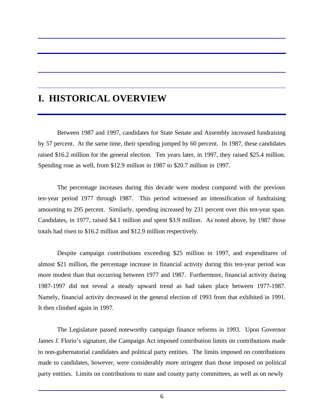## **I. HISTORICAL OVERVIEW**

Between 1987 and 1997, candidates for State Senate and Assembly increased fundraising by 57 percent. At the same time, their spending jumped by 60 percent. In 1987, these candidates raised \$16.2 million for the general election. Ten years later, in 1997, they raised \$25.4 million. Spending rose as well, from \$12.9 million in 1987 to \$20.7 million in 1997.

The percentage increases during this decade were modest compared with the previous ten-year period 1977 through 1987. This period witnessed an intensification of fundraising amounting to 295 percent. Similarly, spending increased by 231 percent over this ten-year span. Candidates, in 1977, raised \$4.1 million and spent \$3.9 million. As noted above, by 1987 those totals had risen to \$16.2 million and \$12.9 million respectively.

Despite campaign contributions exceeding \$25 million in 1997, and expenditures of almost \$21 million, the percentage increase in financial activity during this ten-year period was more modest than that occurring between 1977 and 1987. Furthermore, financial activity during 1987-1997 did not reveal a steady upward trend as had taken place between 1977-1987. Namely, financial activity decreased in the general election of 1993 from that exhibited in 1991. It then climbed again in 1997.

The Legislature passed noteworthy campaign finance reforms in 1993. Upon Governor James J. Florio's signature, the Campaign Act imposed contribution limits on contributions made to non-gubernatorial candidates and political party entities. The limits imposed on contributions made to candidates, however, were considerably more stringent than those imposed on political party entities. Limits on contributions to state and county party committees, as well as on newly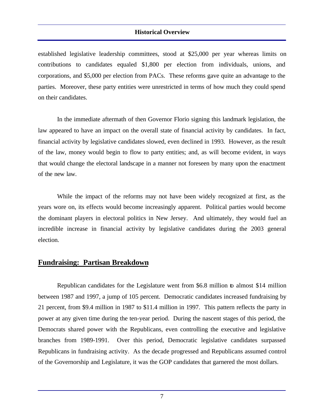established legislative leadership committees, stood at \$25,000 per year whereas limits on contributions to candidates equaled \$1,800 per election from individuals, unions, and corporations, and \$5,000 per election from PACs. These reforms gave quite an advantage to the parties. Moreover, these party entities were unrestricted in terms of how much they could spend on their candidates.

In the immediate aftermath of then Governor Florio signing this landmark legislation, the law appeared to have an impact on the overall state of financial activity by candidates. In fact, financial activity by legislative candidates slowed, even declined in 1993. However, as the result of the law, money would begin to flow to party entities; and, as will become evident, in ways that would change the electoral landscape in a manner not foreseen by many upon the enactment of the new law.

While the impact of the reforms may not have been widely recognized at first, as the years wore on, its effects would become increasingly apparent. Political parties would become the dominant players in electoral politics in New Jersey. And ultimately, they would fuel an incredible increase in financial activity by legislative candidates during the 2003 general election.

#### **Fundraising: Partisan Breakdown**

Republican candidates for the Legislature went from \$6.8 million to almost \$14 million between 1987 and 1997, a jump of 105 percent. Democratic candidates increased fundraising by 21 percent, from \$9.4 million in 1987 to \$11.4 million in 1997. This pattern reflects the party in power at any given time during the ten-year period. During the nascent stages of this period, the Democrats shared power with the Republicans, even controlling the executive and legislative branches from 1989-1991. Over this period, Democratic legislative candidates surpassed Republicans in fundraising activity. As the decade progressed and Republicans assumed control of the Governorship and Legislature, it was the GOP candidates that garnered the most dollars.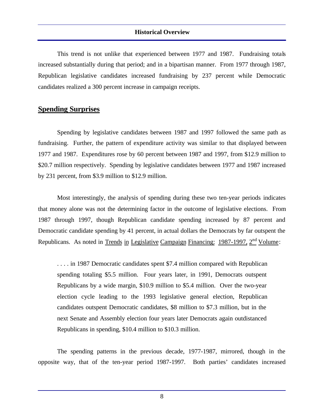This trend is not unlike that experienced between 1977 and 1987. Fundraising totals increased substantially during that period; and in a bipartisan manner. From 1977 through 1987, Republican legislative candidates increased fundraising by 237 percent while Democratic candidates realized a 300 percent increase in campaign receipts.

## **Spending Surprises**

Spending by legislative candidates between 1987 and 1997 followed the same path as fundraising. Further, the pattern of expenditure activity was similar to that displayed between 1977 and 1987. Expenditures rose by 60 percent between 1987 and 1997, from \$12.9 million to \$20.7 million respectively. Spending by legislative candidates between 1977 and 1987 increased by 231 percent, from \$3.9 million to \$12.9 million.

Most interestingly, the analysis of spending during these two ten-year periods indicates that money alone was not the determining factor in the outcome of legislative elections. From 1987 through 1997, though Republican candidate spending increased by 87 percent and Democratic candidate spending by 41 percent, in actual dollars the Democrats by far outspent the Republicans. As noted in Trends in Legislative Campaign Financing: 1987-1997, 2<sup>nd</sup> Volume:

. . . . in 1987 Democratic candidates spent \$7.4 million compared with Republican spending totaling \$5.5 million. Four years later, in 1991, Democrats outspent Republicans by a wide margin, \$10.9 million to \$5.4 million. Over the two-year election cycle leading to the 1993 legislative general election, Republican candidates outspent Democratic candidates, \$8 million to \$7.3 million, but in the next Senate and Assembly election four years later Democrats again outdistanced Republicans in spending, \$10.4 million to \$10.3 million.

The spending patterns in the previous decade, 1977-1987, mirrored, though in the opposite way, that of the ten-year period 1987-1997. Both parties' candidates increased

8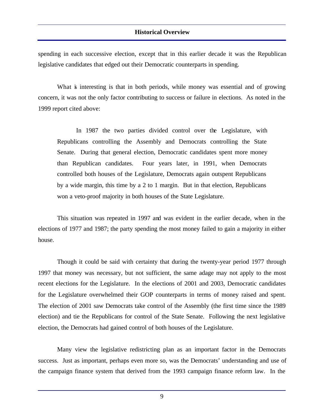spending in each successive election, except that in this earlier decade it was the Republican legislative candidates that edged out their Democratic counterparts in spending.

What is interesting is that in both periods, while money was essential and of growing concern, it was not the only factor contributing to success or failure in elections. As noted in the 1999 report cited above:

In 1987 the two parties divided control over the Legislature, with Republicans controlling the Assembly and Democrats controlling the State Senate. During that general election, Democratic candidates spent more money than Republican candidates. Four years later, in 1991, when Democrats controlled both houses of the Legislature, Democrats again outspent Republicans by a wide margin, this time by a 2 to 1 margin. But in that election, Republicans won a veto-proof majority in both houses of the State Legislature.

This situation was repeated in 1997 and was evident in the earlier decade, when in the elections of 1977 and 1987; the party spending the most money failed to gain a majority in either house.

Though it could be said with certainty that during the twenty-year period 1977 through 1997 that money was necessary, but not sufficient, the same adage may not apply to the most recent elections for the Legislature. In the elections of 2001 and 2003, Democratic candidates for the Legislature overwhelmed their GOP counterparts in terms of money raised and spent. The election of 2001 saw Democrats take control of the Assembly (the first time since the 1989 election) and tie the Republicans for control of the State Senate. Following the next legislative election, the Democrats had gained control of both houses of the Legislature.

Many view the legislative redistricting plan as an important factor in the Democrats success. Just as important, perhaps even more so, was the Democrats' understanding and use of the campaign finance system that derived from the 1993 campaign finance reform law. In the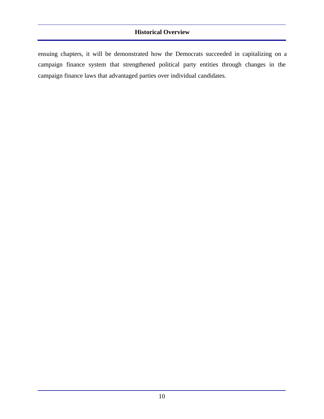ensuing chapters, it will be demonstrated how the Democrats succeeded in capitalizing on a campaign finance system that strengthened political party entities through changes in the campaign finance laws that advantaged parties over individual candidates.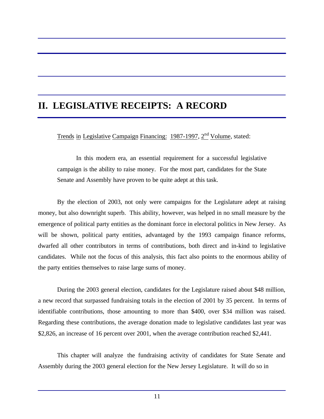## **II. LEGISLATIVE RECEIPTS: A RECORD**

Trends in Legislative Campaign Financing: 1987-1997, 2<sup>nd</sup> Volume, stated:

In this modern era, an essential requirement for a successful legislative campaign is the ability to raise money. For the most part, candidates for the State Senate and Assembly have proven to be quite adept at this task.

By the election of 2003, not only were campaigns for the Legislature adept at raising money, but also downright superb. This ability, however, was helped in no small measure by the emergence of political party entities as the dominant force in electoral politics in New Jersey. As will be shown, political party entities, advantaged by the 1993 campaign finance reforms, dwarfed all other contributors in terms of contributions, both direct and in-kind to legislative candidates. While not the focus of this analysis, this fact also points to the enormous ability of the party entities themselves to raise large sums of money.

During the 2003 general election, candidates for the Legislature raised about \$48 million, a new record that surpassed fundraising totals in the election of 2001 by 35 percent. In terms of identifiable contributions, those amounting to more than \$400, over \$34 million was raised. Regarding these contributions, the average donation made to legislative candidates last year was \$2,826, an increase of 16 percent over 2001, when the average contribution reached \$2,441.

This chapter will analyze the fundraising activity of candidates for State Senate and Assembly during the 2003 general election for the New Jersey Legislature. It will do so in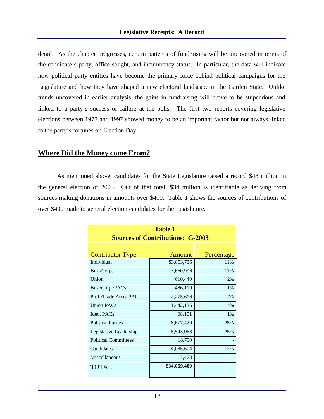#### **Legislative Receipts: A Record**

detail. As the chapter progresses, certain patterns of fundraising will be uncovered in terms of the candidate's party, office sought, and incumbency status. In particular, the data will indicate how political party entities have become the primary force behind political campaigns for the Legislature and how they have shaped a new electoral landscape in the Garden State. Unlike trends uncovered in earlier analysis, the gains in fundraising will prove to be stupendous and linked to a party's success or failure at the polls. The first two reports covering legislative elections between 1977 and 1997 showed money to be an important factor but not always linked to the party's fortunes on Election Day.

### **Where Did the Money come From?**

As mentioned above, candidates for the State Legislature raised a record \$48 million in the general election of 2003. Out of that total, \$34 million is identifiable as deriving from sources making donations in amounts over \$400. Table 1 shows the sources of contributions of over \$400 made to general election candidates for the Legislature.

| <b>Table 1</b><br><b>Sources of Contributions: G-2003</b> |               |            |
|-----------------------------------------------------------|---------------|------------|
|                                                           |               |            |
| <b>Contributor Type</b>                                   | <b>Amount</b> | Percentage |
| Individual                                                | \$3,853,736   | 11%        |
| Bus./Corp.                                                | 3,660,996     | 11%        |
| Union                                                     | 610,440       | 2%         |
| Bus./Corp./PACs                                           | 486,119       | 1%         |
| Prof./Trade Asso. PACs                                    | 2,275,616     | 7%         |
| <b>Union PACs</b>                                         | 1,442,136     | 4%         |
| Ideo, PACs                                                | 408,101       | 1%         |
| <b>Political Parties</b>                                  | 8,677,420     | 25%        |
| Legislative Leadership                                    | 8,543,068     | 25%        |
| <b>Political Committees</b>                               | 18,700        |            |
| Candidates                                                | 4,085,604     | 12%        |
| Miscellaneous                                             | 7,473         |            |
| <b>TOTAL</b>                                              | \$34,069,409  |            |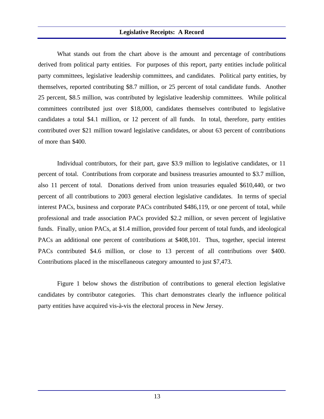#### **Legislative Receipts: A Record**

What stands out from the chart above is the amount and percentage of contributions derived from political party entities. For purposes of this report, party entities include political party committees, legislative leadership committees, and candidates. Political party entities, by themselves, reported contributing \$8.7 million, or 25 percent of total candidate funds. Another 25 percent, \$8.5 million, was contributed by legislative leadership committees. While political committees contributed just over \$18,000, candidates themselves contributed to legislative candidates a total \$4.1 million, or 12 percent of all funds. In total, therefore, party entities contributed over \$21 million toward legislative candidates, or about 63 percent of contributions of more than \$400.

Individual contributors, for their part, gave \$3.9 million to legislative candidates, or 11 percent of total. Contributions from corporate and business treasuries amounted to \$3.7 million, also 11 percent of total. Donations derived from union treasuries equaled \$610,440, or two percent of all contributions to 2003 general election legislative candidates. In terms of special interest PACs, business and corporate PACs contributed \$486,119, or one percent of total, while professional and trade association PACs provided \$2.2 million, or seven percent of legislative funds. Finally, union PACs, at \$1.4 million, provided four percent of total funds, and ideological PACs an additional one percent of contributions at \$408,101. Thus, together, special interest PACs contributed \$4.6 million, or close to 13 percent of all contributions over \$400. Contributions placed in the miscellaneous category amounted to just \$7,473.

Figure 1 below shows the distribution of contributions to general election legislative candidates by contributor categories. This chart demonstrates clearly the influence political party entities have acquired vis-à-vis the electoral process in New Jersey.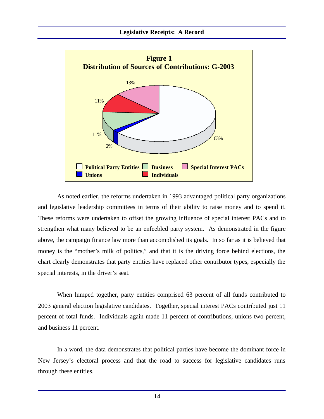

As noted earlier, the reforms undertaken in 1993 advantaged political party organizations and legislative leadership committees in terms of their ability to raise money and to spend it. These reforms were undertaken to offset the growing influence of special interest PACs and to strengthen what many believed to be an enfeebled party system. As demonstrated in the figure above, the campaign finance law more than accomplished its goals. In so far as it is believed that money is the "mother's milk of politics," and that it is the driving force behind elections, the chart clearly demonstrates that party entities have replaced other contributor types, especially the special interests, in the driver's seat.

When lumped together, party entities comprised 63 percent of all funds contributed to 2003 general election legislative candidates. Together, special interest PACs contributed just 11 percent of total funds. Individuals again made 11 percent of contributions, unions two percent, and business 11 percent.

In a word, the data demonstrates that political parties have become the dominant force in New Jersey's electoral process and that the road to success for legislative candidates runs through these entities.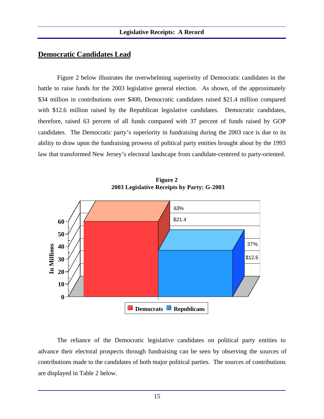## **Democratic Candidates Lead**

Figure 2 below illustrates the overwhelming superiority of Democratic candidates in the battle to raise funds for the 2003 legislative general election. As shown, of the approximately \$34 million in contributions over \$400, Democratic candidates raised \$21.4 million compared with \$12.6 million raised by the Republican legislative candidates. Democratic candidates, therefore, raised 63 percent of all funds compared with 37 percent of funds raised by GOP candidates. The Democratic party's superiority in fundraising during the 2003 race is due to its ability to draw upon the fundraising prowess of political party entities brought about by the 1993 law that transformed New Jersey's electoral landscape from candidate-centered to party-oriented.



**Figure 2 2003 Legislative Receipts by Party: G-2003**

The reliance of the Democratic legislative candidates on political party entities to advance their electoral prospects through fundraising can be seen by observing the sources of contributions made to the candidates of both major political parties. The sources of contributions are displayed in Table 2 below.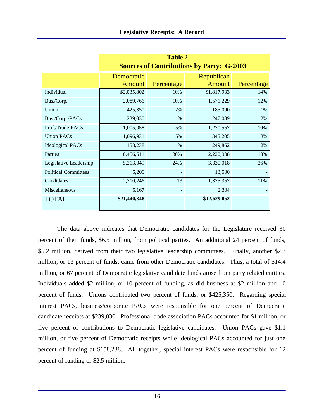|                             | <b>Table 2</b>                                   |            |               |            |
|-----------------------------|--------------------------------------------------|------------|---------------|------------|
|                             | <b>Sources of Contributions by Party: G-2003</b> |            |               |            |
|                             | Democratic                                       | Republican |               |            |
|                             | <b>Amount</b>                                    | Percentage | <b>Amount</b> | Percentage |
| Individual                  | \$2,035,802                                      | 10%        | \$1,817,933   | 14%        |
| Bus./Corp.                  | 2,089,766                                        | 10%        | 1,571,229     | 12%        |
| Union                       | 425,350                                          | 2%         | 185,090       | 1%         |
| Bus./Corp./PACs             | 239,030                                          | 1%         | 247,089       | 2%         |
| Prof./Trade PACs            | 1,005,058                                        | 5%         | 1,270,557     | 10%        |
| <b>Union PACs</b>           | 1,096,931                                        | 5%         | 345,205       | 3%         |
| <b>Ideological PACs</b>     | 158,238                                          | 1%         | 249,862       | 2%         |
| Parties                     | 6,456,511                                        | 30%        | 2,220,908     | 18%        |
| Legislative Leadership      | 5,213,049                                        | 24%        | 3,330,018     | 26%        |
| <b>Political Committees</b> | 5,200                                            |            | 13,500        |            |
| Candidates                  | 2,710,246                                        | 13         | 1,375,357     | 11%        |
| Miscellaneous               | 5,167                                            |            | 2,304         |            |
| <b>TOTAL</b>                | \$21,440,348                                     |            | \$12,629,052  |            |

The data above indicates that Democratic candidates for the Legislature received 30 percent of their funds, \$6.5 million, from political parties. An additional 24 percent of funds, \$5.2 million, derived from their two legislative leadership committees. Finally, another \$2.7 million, or 13 percent of funds, came from other Democratic candidates. Thus, a total of \$14.4 million, or 67 percent of Democratic legislative candidate funds arose from party related entities. Individuals added \$2 million, or 10 percent of funding, as did business at \$2 million and 10 percent of funds. Unions contributed two percent of funds, or \$425,350. Regarding special interest PACs, business/corporate PACs were responsible for one percent of Democratic candidate receipts at \$239,030. Professional trade association PACs accounted for \$1 million, or five percent of contributions to Democratic legislative candidates. Union PACs gave \$1.1 million, or five percent of Democratic receipts while ideological PACs accounted for just one percent of funding at \$158,238. All together, special interest PACs were responsible for 12 percent of funding or \$2.5 million.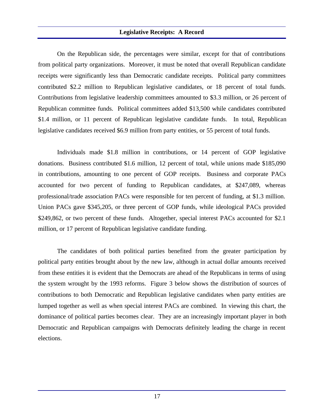#### **Legislative Receipts: A Record**

On the Republican side, the percentages were similar, except for that of contributions from political party organizations. Moreover, it must be noted that overall Republican candidate receipts were significantly less than Democratic candidate receipts. Political party committees contributed \$2.2 million to Republican legislative candidates, or 18 percent of total funds. Contributions from legislative leadership committees amounted to \$3.3 million, or 26 percent of Republican committee funds. Political committees added \$13,500 while candidates contributed \$1.4 million, or 11 percent of Republican legislative candidate funds. In total, Republican legislative candidates received \$6.9 million from party entities, or 55 percent of total funds.

Individuals made \$1.8 million in contributions, or 14 percent of GOP legislative donations. Business contributed \$1.6 million, 12 percent of total, while unions made \$185,090 in contributions, amounting to one percent of GOP receipts. Business and corporate PACs accounted for two percent of funding to Republican candidates, at \$247,089, whereas professional/trade association PACs were responsible for ten percent of funding, at \$1.3 million. Union PACs gave \$345,205, or three percent of GOP funds, while ideological PACs provided \$249,862, or two percent of these funds. Altogether, special interest PACs accounted for \$2.1 million, or 17 percent of Republican legislative candidate funding.

The candidates of both political parties benefited from the greater participation by political party entities brought about by the new law, although in actual dollar amounts received from these entities it is evident that the Democrats are ahead of the Republicans in terms of using the system wrought by the 1993 reforms. Figure 3 below shows the distribution of sources of contributions to both Democratic and Republican legislative candidates when party entities are lumped together as well as when special interest PACs are combined. In viewing this chart, the dominance of political parties becomes clear. They are an increasingly important player in both Democratic and Republican campaigns with Democrats definitely leading the charge in recent elections.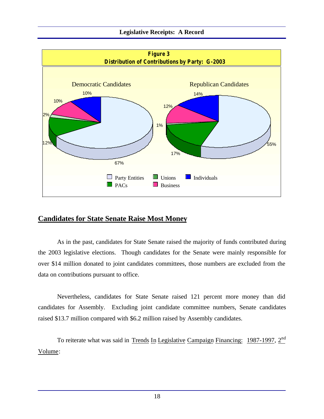#### **Legislative Receipts: A Record**



## **Candidates for State Senate Raise Most Money**

As in the past, candidates for State Senate raised the majority of funds contributed during the 2003 legislative elections. Though candidates for the Senate were mainly responsible for over \$14 million donated to joint candidates committees, those numbers are excluded from the data on contributions pursuant to office.

Nevertheless, candidates for State Senate raised 121 percent more money than did candidates for Assembly. Excluding joint candidate committee numbers, Senate candidates raised \$13.7 million compared with \$6.2 million raised by Assembly candidates.

To reiterate what was said in Trends In Legislative Campaign Financing: 1987-1997, 2<sup>nd</sup> Volume: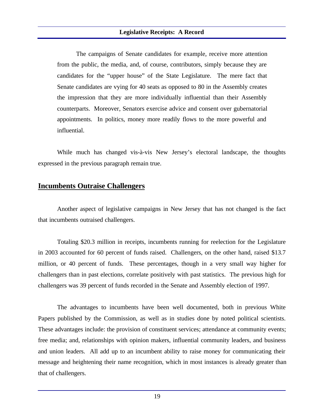The campaigns of Senate candidates for example, receive more attention from the public, the media, and, of course, contributors, simply because they are candidates for the "upper house" of the State Legislature. The mere fact that Senate candidates are vying for 40 seats as opposed to 80 in the Assembly creates the impression that they are more individually influential than their Assembly counterparts. Moreover, Senators exercise advice and consent over gubernatorial appointments. In politics, money more readily flows to the more powerful and influential.

While much has changed vis-à-vis New Jersey's electoral landscape, the thoughts expressed in the previous paragraph remain true.

## **Incumbents Outraise Challengers**

Another aspect of legislative campaigns in New Jersey that has not changed is the fact that incumbents outraised challengers.

Totaling \$20.3 million in receipts, incumbents running for reelection for the Legislature in 2003 accounted for 60 percent of funds raised. Challengers, on the other hand, raised \$13.7 million, or 40 percent of funds. These percentages, though in a very small way higher for challengers than in past elections, correlate positively with past statistics. The previous high for challengers was 39 percent of funds recorded in the Senate and Assembly election of 1997.

The advantages to incumbents have been well documented, both in previous White Papers published by the Commission, as well as in studies done by noted political scientists. These advantages include: the provision of constituent services; attendance at community events; free media; and, relationships with opinion makers, influential community leaders, and business and union leaders. All add up to an incumbent ability to raise money for communicating their message and heightening their name recognition, which in most instances is already greater than that of challengers.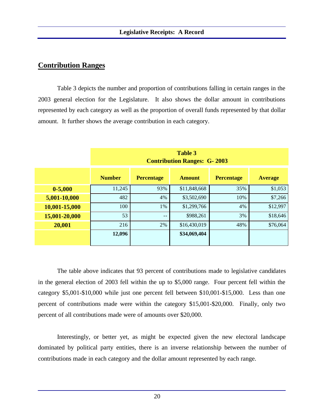## **Contribution Ranges**

Table 3 depicts the number and proportion of contributions falling in certain ranges in the 2003 general election for the Legislature. It also shows the dollar amount in contributions represented by each category as well as the proportion of overall funds represented by that dollar amount. It further shows the average contribution in each category.

| <b>Table 3</b><br><b>Contribution Ranges: G-2003</b> |                   |               |                   |                |
|------------------------------------------------------|-------------------|---------------|-------------------|----------------|
| <b>Number</b>                                        | <b>Percentage</b> | <b>Amount</b> | <b>Percentage</b> | <b>Average</b> |
| 11,245                                               | 93%               | \$11,848,668  | 35%               | \$1,053        |
| 482                                                  | 4%                | \$3,502,690   | 10%               | \$7,266        |
| 100                                                  | 1%                | \$1,299,766   | 4%                | \$12,997       |
| 53                                                   | $- -$             | \$988,261     | 3%                | \$18,646       |
| 216                                                  | 2%                | \$16,430,019  | 48%               | \$76,064       |
| 12,096                                               |                   | \$34,069,404  |                   |                |
|                                                      |                   |               |                   |                |

The table above indicates that 93 percent of contributions made to legislative candidates in the general election of 2003 fell within the up to \$5,000 range. Four percent fell within the category \$5,001-\$10,000 while just one percent fell between \$10,001-\$15,000. Less than one percent of contributions made were within the category \$15,001-\$20,000. Finally, only two percent of all contributions made were of amounts over \$20,000.

Interestingly, or better yet, as might be expected given the new electoral landscape dominated by political party entities, there is an inverse relationship between the number of contributions made in each category and the dollar amount represented by each range.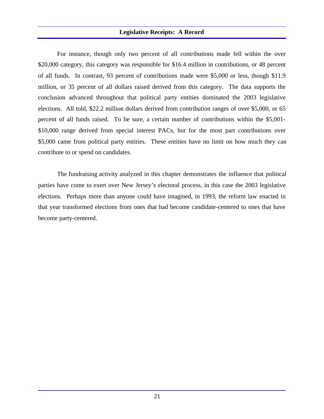#### **Legislative Receipts: A Record**

For instance, though only two percent of all contributions made fell within the over \$20,000 category, this category was responsible for \$16.4 million in contributions, or 48 percent of all funds. In contrast, 93 percent of contributions made were \$5,000 or less, though \$11.9 million, or 35 percent of all dollars raised derived from this category. The data supports the conclusion advanced throughout that political party entities dominated the 2003 legislative elections. All told, \$22.2 million dollars derived from contribution ranges of over \$5,000, or 65 percent of all funds raised. To be sure, a certain number of contributions within the \$5,001- \$10,000 range derived from special interest PACs, but for the most part contributions over \$5,000 came from political party entities. These entities have no limit on how much they can contribute to or spend on candidates.

The fundraising activity analyzed in this chapter demonstrates the influence that political parties have come to exert over New Jersey's electoral process, in this case the 2003 legislative elections. Perhaps more than anyone could have imagined, in 1993, the reform law enacted in that year transformed elections from ones that had become candidate-centered to ones that have become party-centered.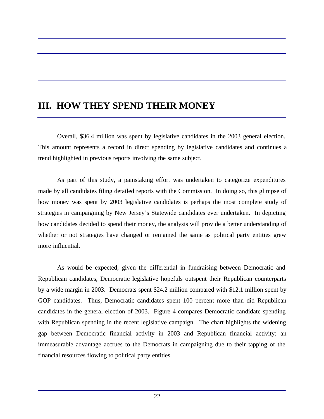## **III. HOW THEY SPEND THEIR MONEY**

Overall, \$36.4 million was spent by legislative candidates in the 2003 general election. This amount represents a record in direct spending by legislative candidates and continues a trend highlighted in previous reports involving the same subject.

As part of this study, a painstaking effort was undertaken to categorize expenditures made by all candidates filing detailed reports with the Commission. In doing so, this glimpse of how money was spent by 2003 legislative candidates is perhaps the most complete study of strategies in campaigning by New Jersey's Statewide candidates ever undertaken. In depicting how candidates decided to spend their money, the analysis will provide a better understanding of whether or not strategies have changed or remained the same as political party entities grew more influential.

As would be expected, given the differential in fundraising between Democratic and Republican candidates, Democratic legislative hopefuls outspent their Republican counterparts by a wide margin in 2003. Democrats spent \$24.2 million compared with \$12.1 million spent by GOP candidates. Thus, Democratic candidates spent 100 percent more than did Republican candidates in the general election of 2003. Figure 4 compares Democratic candidate spending with Republican spending in the recent legislative campaign. The chart highlights the widening gap between Democratic financial activity in 2003 and Republican financial activity; an immeasurable advantage accrues to the Democrats in campaigning due to their tapping of the financial resources flowing to political party entities.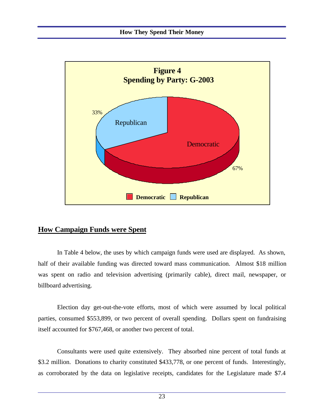

## **How Campaign Funds were Spent**

In Table 4 below, the uses by which campaign funds were used are displayed. As shown, half of their available funding was directed toward mass communication. Almost \$18 million was spent on radio and television advertising (primarily cable), direct mail, newspaper, or billboard advertising.

Election day get-out-the-vote efforts, most of which were assumed by local political parties, consumed \$553,899, or two percent of overall spending. Dollars spent on fundraising itself accounted for \$767,468, or another two percent of total.

Consultants were used quite extensively. They absorbed nine percent of total funds at \$3.2 million. Donations to charity constituted \$433,778, or one percent of funds. Interestingly, as corroborated by the data on legislative receipts, candidates for the Legislature made \$7.4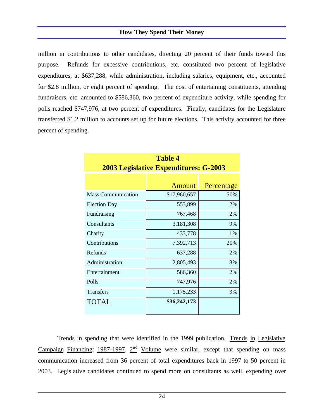#### **How They Spend Their Money**

million in contributions to other candidates, directing 20 percent of their funds toward this purpose. Refunds for excessive contributions, etc. constituted two percent of legislative expenditures, at \$637,288, while administration, including salaries, equipment, etc., accounted for \$2.8 million, or eight percent of spending. The cost of entertaining constituents, attending fundraisers, etc. amounted to \$586,360, two percent of expenditure activity, while spending for polls reached \$747,976, at two percent of expenditures. Finally, candidates for the Legislature transferred \$1.2 million to accounts set up for future elections. This activity accounted for three percent of spending.

| <b>Table 4</b>                               |               |            |  |  |
|----------------------------------------------|---------------|------------|--|--|
| <b>2003 Legislative Expenditures: G-2003</b> |               |            |  |  |
|                                              |               |            |  |  |
|                                              | <b>Amount</b> | Percentage |  |  |
| <b>Mass Communication</b>                    | \$17,960,657  | 50%        |  |  |
| <b>Election Day</b>                          | 553,899       | 2%         |  |  |
| Fundraising                                  | 767,468       | 2%         |  |  |
| Consultants                                  | 3,181,308     | 9%         |  |  |
| Charity                                      | 433,778       | 1%         |  |  |
| Contributions                                | 7,392,713     | 20%        |  |  |
| Refunds                                      | 637,288       | 2%         |  |  |
| Administration                               | 2,805,493     | 8%         |  |  |
| Entertainment                                | 586,360       | 2%         |  |  |
| Polls                                        | 747,976       | 2%         |  |  |
| <b>Transfers</b>                             | 1,175,233     | 3%         |  |  |
| <b>TOTAL</b>                                 | \$36,242,173  |            |  |  |

Trends in spending that were identified in the 1999 publication, Trends in Legislative Campaign Financing: 1987-1997,  $2<sup>nd</sup>$  Volume were similar, except that spending on mass communication increased from 36 percent of total expenditures back in 1997 to 50 percent in 2003. Legislative candidates continued to spend more on consultants as well, expending over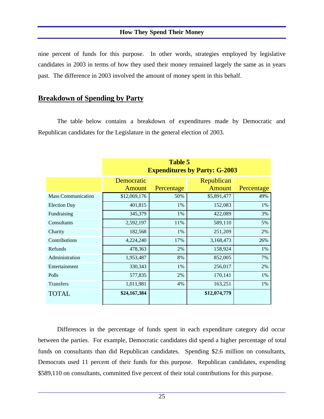## **How They Spend Their Money**

nine percent of funds for this purpose. In other words, strategies employed by legislative candidates in 2003 in terms of how they used their money remained largely the same as in years past. The difference in 2003 involved the amount of money spent in this behalf.

## **Breakdown of Spending by Party**

The table below contains a breakdown of expenditures made by Democratic and Republican candidates for the Legislature in the general election of 2003.

|                           | <b>Table 5</b><br><b>Expenditures by Party: G-2003</b> |            |                             |            |
|---------------------------|--------------------------------------------------------|------------|-----------------------------|------------|
|                           | Democratic<br><b>Amount</b>                            | Percentage | Republican<br><b>Amount</b> | Percentage |
| <b>Mass Communication</b> | \$12,069,176                                           | 50%        | \$5,891,477                 | 49%        |
| <b>Election Day</b>       | 401,815                                                | 1%         | 152,083                     | 1%         |
| Fundraising               | 345,379                                                | 1%         | 422,089                     | 3%         |
| Consultants               | 2,592,197                                              | 11%        | 589,110                     | 5%         |
| Charity                   | 182,568                                                | 1%         | 251,209                     | 2%         |
| Contributions             | 4,224,240                                              | 17%        | 3,168,473                   | 26%        |
| Refunds                   | 478,363                                                | 2%         | 158,924                     | 1%         |
| Administration            | 1,953,487                                              | 8%         | 852,005                     | 7%         |
| Entertainment             | 330,343                                                | 1%         | 256,017                     | 2%         |
| Polls                     | 577,835                                                | 2%         | 170,141                     | 1%         |
| <b>Transfers</b>          | 1,011,981                                              | 4%         | 163,251                     | 1%         |
| <b>TOTAL</b>              | \$24,167,384                                           |            | \$12,074,779                |            |

Differences in the percentage of funds spent in each expenditure category did occur between the parties. For example, Democratic candidates did spend a higher percentage of total funds on consultants than did Republican candidates. Spending \$2.6 million on consultants, Democrats used 11 percent of their funds for this purpose. Republican candidates, expending \$589,110 on consultants, committed five percent of their total contributions for this purpose.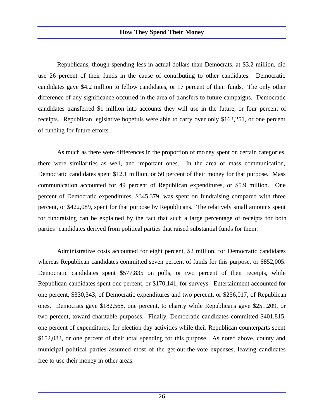Republicans, though spending less in actual dollars than Democrats, at \$3.2 million, did use 26 percent of their funds in the cause of contributing to other candidates. Democratic candidates gave \$4.2 million to fellow candidates, or 17 percent of their funds. The only other difference of any significance occurred in the area of transfers to future campaigns. Democratic candidates transferred \$1 million into accounts they will use in the future, or four percent of receipts. Republican legislative hopefuls were able to carry over only \$163,251, or one percent of funding for future efforts.

As much as there were differences in the proportion of money spent on certain categories, there were similarities as well, and important ones. In the area of mass communication, Democratic candidates spent \$12.1 million, or 50 percent of their money for that purpose. Mass communication accounted for 49 percent of Republican expenditures, or \$5.9 million. One percent of Democratic expenditures, \$345,379, was spent on fundraising compared with three percent, or \$422,089, spent for that purpose by Republicans. The relatively small amounts spent for fundraising can be explained by the fact that such a large percentage of receipts for both parties' candidates derived from political parties that raised substantial funds for them.

Administrative costs accounted for eight percent, \$2 million, for Democratic candidates whereas Republican candidates committed seven percent of funds for this purpose, or \$852,005. Democratic candidates spent \$577,835 on polls, or two percent of their receipts, while Republican candidates spent one percent, or \$170,141, for surveys. Entertainment accounted for one percent, \$330,343, of Democratic expenditures and two percent, or \$256,017, of Republican ones. Democrats gave \$182,568, one percent, to charity while Republicans gave \$251,209, or two percent, toward charitable purposes. Finally, Democratic candidates committed \$401,815, one percent of expenditures, for election day activities while their Republican counterparts spent \$152,083, or one percent of their total spending for this purpose. As noted above, county and municipal political parties assumed most of the get-out-the-vote expenses, leaving candidates free to use their money in other areas.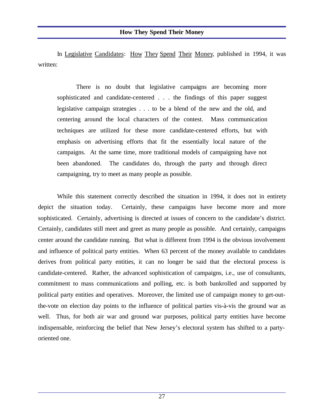In Legislative Candidates: How They Spend Their Money, published in 1994, it was written:

There is no doubt that legislative campaigns are becoming more sophisticated and candidate-centered . . . the findings of this paper suggest legislative campaign strategies . . . to be a blend of the new and the old, and centering around the local characters of the contest. Mass communication techniques are utilized for these more candidate-centered efforts, but with emphasis on advertising efforts that fit the essentially local nature of the campaigns. At the same time, more traditional models of campaigning have not been abandoned. The candidates do, through the party and through direct campaigning, try to meet as many people as possible.

While this statement correctly described the situation in 1994, it does not in entirety depict the situation today. Certainly, these campaigns have become more and more sophisticated. Certainly, advertising is directed at issues of concern to the candidate's district. Certainly, candidates still meet and greet as many people as possible. And certainly, campaigns center around the candidate running. But what is different from 1994 is the obvious involvement and influence of political party entities. When 63 percent of the money available to candidates derives from political party entities, it can no longer be said that the electoral process is candidate-centered. Rather, the advanced sophistication of campaigns, i.e., use of consultants, commitment to mass communications and polling, etc. is both bankrolled and supported by political party entities and operatives. Moreover, the limited use of campaign money to get-outthe-vote on election day points to the influence of political parties vis-à-vis the ground war as well. Thus, for both air war and ground war purposes, political party entities have become indispensable, reinforcing the belief that New Jersey's electoral system has shifted to a partyoriented one.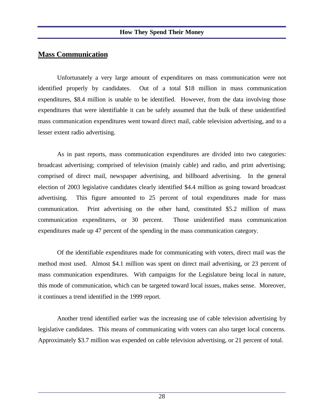## **Mass Communication**

Unfortunately a very large amount of expenditures on mass communication were not identified properly by candidates. Out of a total \$18 million in mass communication expenditures, \$8.4 million is unable to be identified. However, from the data involving those expenditures that were identifiable it can be safely assumed that the bulk of these unidentified mass communication expenditures went toward direct mail, cable television advertising, and to a lesser extent radio advertising.

As in past reports, mass communication expenditures are divided into two categories: broadcast advertising; comprised of television (mainly cable) and radio, and print advertising; comprised of direct mail, newspaper advertising, and billboard advertising. In the general election of 2003 legislative candidates clearly identified \$4.4 million as going toward broadcast advertising. This figure amounted to 25 percent of total expenditures made for mass communication. Print advertising on the other hand, constituted \$5.2 million of mass communication expenditures, or 30 percent. Those unidentified mass communication expenditures made up 47 percent of the spending in the mass communication category.

Of the identifiable expenditures made for communicating with voters, direct mail was the method most used. Almost \$4.1 million was spent on direct mail advertising, or 23 percent of mass communication expenditures. With campaigns for the Legislature being local in nature, this mode of communication, which can be targeted toward local issues, makes sense. Moreover, it continues a trend identified in the 1999 report.

Another trend identified earlier was the increasing use of cable television advertising by legislative candidates. This means of communicating with voters can also target local concerns. Approximately \$3.7 million was expended on cable television advertising, or 21 percent of total.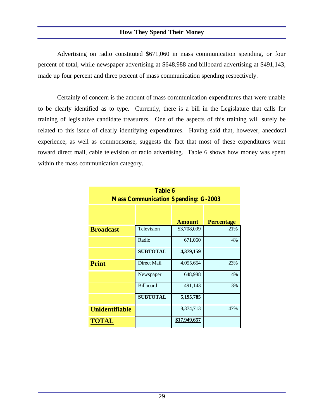## **How They Spend Their Money**

Advertising on radio constituted \$671,060 in mass communication spending, or four percent of total, while newspaper advertising at \$648,988 and billboard advertising at \$491,143, made up four percent and three percent of mass communication spending respectively.

Certainly of concern is the amount of mass communication expenditures that were unable to be clearly identified as to type. Currently, there is a bill in the Legislature that calls for training of legislative candidate treasurers. One of the aspects of this training will surely be related to this issue of clearly identifying expenditures. Having said that, however, anecdotal experience, as well as commonsense, suggests the fact that most of these expenditures went toward direct mail, cable television or radio advertising. Table 6 shows how money was spent within the mass communication category.

| <b>Table 6</b><br><b>Mass Communication Spending: G-2003</b> |                    |               |                   |
|--------------------------------------------------------------|--------------------|---------------|-------------------|
|                                                              |                    | <b>Amount</b> | <b>Percentage</b> |
| <b>Broadcast</b>                                             | Television         | \$3,708,099   | 21%               |
|                                                              | Radio              | 671,060       | 4%                |
|                                                              | <b>SUBTOTAL</b>    | 4,379,159     |                   |
| <b>Print</b>                                                 | <b>Direct Mail</b> | 4,055,654     | 23%               |
|                                                              | Newspaper          | 648,988       | 4%                |
|                                                              | <b>Billboard</b>   | 491,143       | 3%                |
|                                                              | <b>SUBTOTAL</b>    | 5,195,785     |                   |
| <b>Unidentifiable</b>                                        |                    | 8,374,713     | 47%               |
| <b>TOTAL</b>                                                 |                    | \$17,949,657  |                   |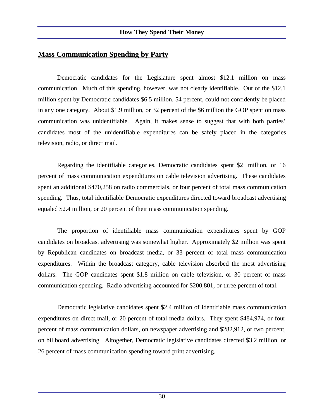## **Mass Communication Spending by Party**

Democratic candidates for the Legislature spent almost \$12.1 million on mass communication. Much of this spending, however, was not clearly identifiable. Out of the \$12.1 million spent by Democratic candidates \$6.5 million, 54 percent, could not confidently be placed in any one category. About \$1.9 million, or 32 percent of the \$6 million the GOP spent on mass communication was unidentifiable. Again, it makes sense to suggest that with both parties' candidates most of the unidentifiable expenditures can be safely placed in the categories television, radio, or direct mail.

Regarding the identifiable categories, Democratic candidates spent \$2 million, or 16 percent of mass communication expenditures on cable television advertising. These candidates spent an additional \$470,258 on radio commercials, or four percent of total mass communication spending. Thus, total identifiable Democratic expenditures directed toward broadcast advertising equaled \$2.4 million, or 20 percent of their mass communication spending.

The proportion of identifiable mass communication expenditures spent by GOP candidates on broadcast advertising was somewhat higher. Approximately \$2 million was spent by Republican candidates on broadcast media, or 33 percent of total mass communication expenditures. Within the broadcast category, cable television absorbed the most advertising dollars. The GOP candidates spent \$1.8 million on cable television, or 30 percent of mass communication spending. Radio advertising accounted for \$200,801, or three percent of total.

Democratic legislative candidates spent \$2.4 million of identifiable mass communication expenditures on direct mail, or 20 percent of total media dollars. They spent \$484,974, or four percent of mass communication dollars, on newspaper advertising and \$282,912, or two percent, on billboard advertising. Altogether, Democratic legislative candidates directed \$3.2 million, or 26 percent of mass communication spending toward print advertising.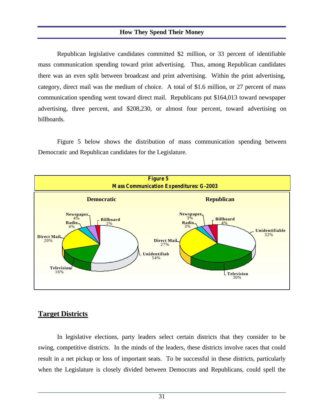#### **How They Spend Their Money**

Republican legislative candidates committed \$2 million, or 33 percent of identifiable mass communication spending toward print advertising. Thus, among Republican candidates there was an even split between broadcast and print advertising. Within the print advertising, category, direct mail was the medium of choice. A total of \$1.6 million, or 27 percent of mass communication spending went toward direct mail. Republicans put \$164,013 toward newspaper advertising, three percent, and \$208,230, or almost four percent, toward advertising on billboards.

Figure 5 below shows the distribution of mass communication spending between Democratic and Republican candidates for the Legislature.



## **Target Districts**

In legislative elections, party leaders select certain districts that they consider to be swing, competitive districts. In the minds of the leaders, these districts involve races that could result in a net pickup or loss of important seats. To be successful in these districts, particularly when the Legislature is closely divided between Democrats and Republicans, could spell the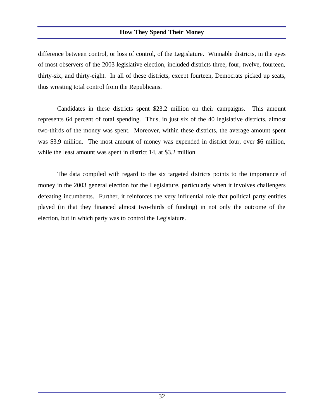## **How They Spend Their Money**

difference between control, or loss of control, of the Legislature. Winnable districts, in the eyes of most observers of the 2003 legislative election, included districts three, four, twelve, fourteen, thirty-six, and thirty-eight. In all of these districts, except fourteen, Democrats picked up seats, thus wresting total control from the Republicans.

Candidates in these districts spent \$23.2 million on their campaigns. This amount represents 64 percent of total spending. Thus, in just six of the 40 legislative districts, almost two-thirds of the money was spent. Moreover, within these districts, the average amount spent was \$3.9 million. The most amount of money was expended in district four, over \$6 million, while the least amount was spent in district 14, at \$3.2 million.

The data compiled with regard to the six targeted districts points to the importance of money in the 2003 general election for the Legislature, particularly when it involves challengers defeating incumbents. Further, it reinforces the very influential role that political party entities played (in that they financed almost two-thirds of funding) in not only the outcome of the election, but in which party was to control the Legislature.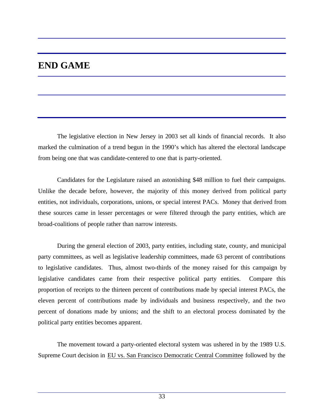# **END GAME**

The legislative election in New Jersey in 2003 set all kinds of financial records. It also marked the culmination of a trend begun in the 1990's which has altered the electoral landscape from being one that was candidate-centered to one that is party-oriented.

Candidates for the Legislature raised an astonishing \$48 million to fuel their campaigns. Unlike the decade before, however, the majority of this money derived from political party entities, not individuals, corporations, unions, or special interest PACs. Money that derived from these sources came in lesser percentages or were filtered through the party entities, which are broad-coalitions of people rather than narrow interests.

During the general election of 2003, party entities, including state, county, and municipal party committees, as well as legislative leadership committees, made 63 percent of contributions to legislative candidates. Thus, almost two-thirds of the money raised for this campaign by legislative candidates came from their respective political party entities. Compare this proportion of receipts to the thirteen percent of contributions made by special interest PACs, the eleven percent of contributions made by individuals and business respectively, and the two percent of donations made by unions; and the shift to an electoral process dominated by the political party entities becomes apparent.

The movement toward a party-oriented electoral system was ushered in by the 1989 U.S. Supreme Court decision in EU vs. San Francisco Democratic Central Committee followed by the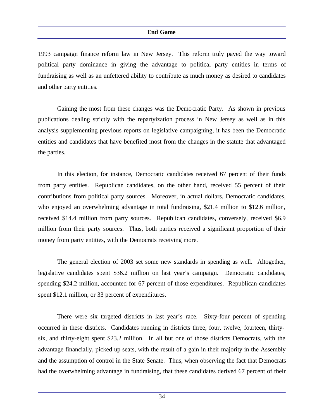1993 campaign finance reform law in New Jersey. This reform truly paved the way toward political party dominance in giving the advantage to political party entities in terms of fundraising as well as an unfettered ability to contribute as much money as desired to candidates and other party entities.

Gaining the most from these changes was the Democratic Party. As shown in previous publications dealing strictly with the repartyization process in New Jersey as well as in this analysis supplementing previous reports on legislative campaigning, it has been the Democratic entities and candidates that have benefited most from the changes in the statute that advantaged the parties.

In this election, for instance, Democratic candidates received 67 percent of their funds from party entities. Republican candidates, on the other hand, received 55 percent of their contributions from political party sources. Moreover, in actual dollars, Democratic candidates, who enjoyed an overwhelming advantage in total fundraising, \$21.4 million to \$12.6 million, received \$14.4 million from party sources. Republican candidates, conversely, received \$6.9 million from their party sources. Thus, both parties received a significant proportion of their money from party entities, with the Democrats receiving more.

The general election of 2003 set some new standards in spending as well. Altogether, legislative candidates spent \$36.2 million on last year's campaign. Democratic candidates, spending \$24.2 million, accounted for 67 percent of those expenditures. Republican candidates spent \$12.1 million, or 33 percent of expenditures.

There were six targeted districts in last year's race. Sixty-four percent of spending occurred in these districts. Candidates running in districts three, four, twelve, fourteen, thirtysix, and thirty-eight spent \$23.2 million. In all but one of those districts Democrats, with the advantage financially, picked up seats, with the result of a gain in their majority in the Assembly and the assumption of control in the State Senate. Thus, when observing the fact that Democrats had the overwhelming advantage in fundraising, that these candidates derived 67 percent of their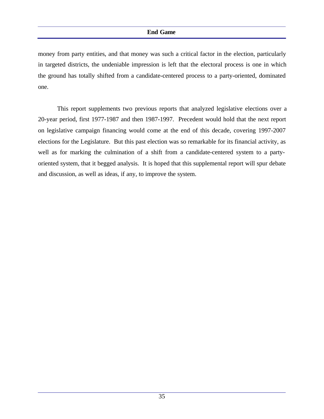#### **End Game**

money from party entities, and that money was such a critical factor in the election, particularly in targeted districts, the undeniable impression is left that the electoral process is one in which the ground has totally shifted from a candidate-centered process to a party-oriented, dominated one.

This report supplements two previous reports that analyzed legislative elections over a 20-year period, first 1977-1987 and then 1987-1997. Precedent would hold that the next report on legislative campaign financing would come at the end of this decade, covering 1997-2007 elections for the Legislature. But this past election was so remarkable for its financial activity, as well as for marking the culmination of a shift from a candidate-centered system to a partyoriented system, that it begged analysis. It is hoped that this supplemental report will spur debate and discussion, as well as ideas, if any, to improve the system.